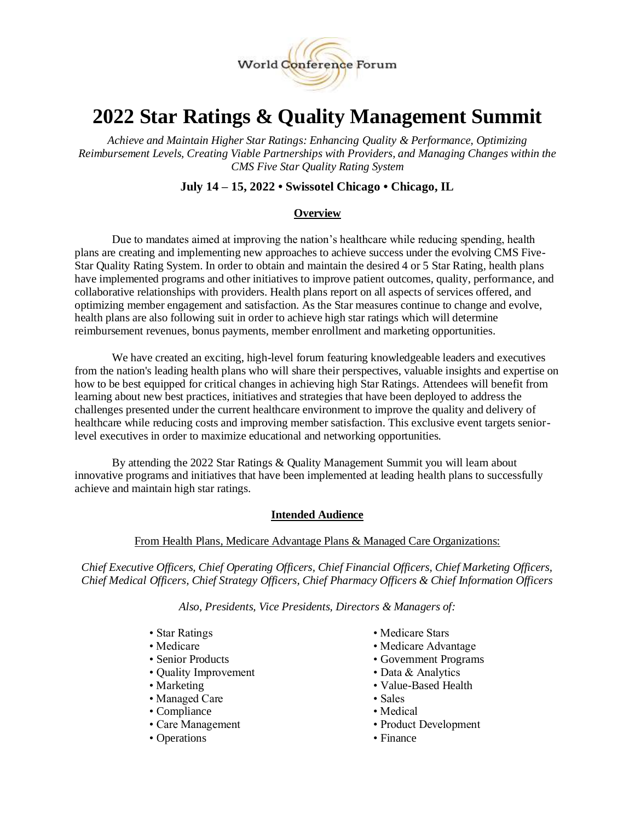

# **2022 Star Ratings & Quality Management Summit**

*Achieve and Maintain Higher Star Ratings: Enhancing Quality & Performance, Optimizing Reimbursement Levels, Creating Viable Partnerships with Providers, and Managing Changes within the CMS Five Star Quality Rating System*

# **July 14 – 15, 2022 • Swissotel Chicago • Chicago, IL**

# **Overview**

Due to mandates aimed at improving the nation's healthcare while reducing spending, health plans are creating and implementing new approaches to achieve success under the evolving CMS Five-Star Quality Rating System. In order to obtain and maintain the desired 4 or 5 Star Rating, health plans have implemented programs and other initiatives to improve patient outcomes, quality, performance, and collaborative relationships with providers. Health plans report on all aspects of services offered, and optimizing member engagement and satisfaction. As the Star measures continue to change and evolve, health plans are also following suit in order to achieve high star ratings which will determine reimbursement revenues, bonus payments, member enrollment and marketing opportunities.

We have created an exciting, high-level forum featuring knowledgeable leaders and executives from the nation's leading health plans who will share their perspectives, valuable insights and expertise on how to be best equipped for critical changes in achieving high Star Ratings. Attendees will benefit from learning about new best practices, initiatives and strategies that have been deployed to address the challenges presented under the current healthcare environment to improve the quality and delivery of healthcare while reducing costs and improving member satisfaction. This exclusive event targets seniorlevel executives in order to maximize educational and networking opportunities.

By attending the 2022 Star Ratings & Quality Management Summit you will learn about innovative programs and initiatives that have been implemented at leading health plans to successfully achieve and maintain high star ratings.

#### **Intended Audience**

#### From Health Plans, Medicare Advantage Plans & Managed Care Organizations:

*Chief Executive Officers, Chief Operating Officers, Chief Financial Officers, Chief Marketing Officers, Chief Medical Officers, Chief Strategy Officers, Chief Pharmacy Officers & Chief Information Officers*

*Also, Presidents, Vice Presidents, Directors & Managers of:*

- 
- 
- 
- Quality Improvement Data & Analytics
- 
- Managed Care Sales
- Compliance Medical
- 
- Operations Finance
- Star Ratings Medicare Stars
- Medicare Medicare Advantage
- Senior Products Government Programs
	-
- Marketing Value-Based Health
	-
	-
- Care Management Product Development
	-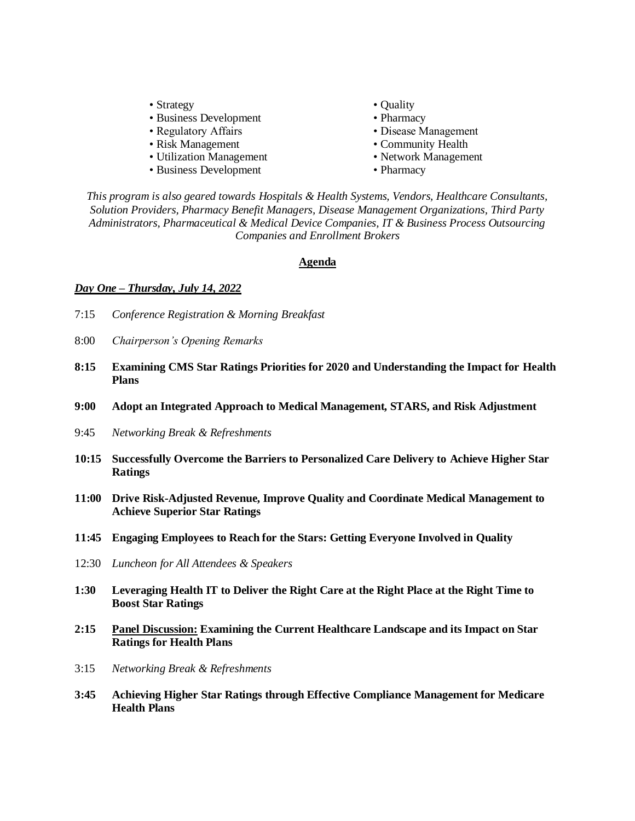- Strategy Quality
- Business Development Pharmacy
- 
- Risk Management Community Health
- Utilization Management Network Management
- Business Development Pharmacy
- 
- 
- Regulatory Affairs Disease Management
	-
	-
	-

*This program is also geared towards Hospitals & Health Systems, Vendors, Healthcare Consultants, Solution Providers, Pharmacy Benefit Managers, Disease Management Organizations, Third Party Administrators, Pharmaceutical & Medical Device Companies, IT & Business Process Outsourcing Companies and Enrollment Brokers*

### **Agenda**

# *Day One – Thursday, July 14, 2022*

- 7:15 *Conference Registration & Morning Breakfast*
- 8:00 *Chairperson's Opening Remarks*
- **8:15 Examining CMS Star Ratings Priorities for 2020 and Understanding the Impact for Health Plans**
- **9:00 Adopt an Integrated Approach to Medical Management, STARS, and Risk Adjustment**
- 9:45 *Networking Break & Refreshments*
- **10:15 Successfully Overcome the Barriers to Personalized Care Delivery to Achieve Higher Star Ratings**
- **11:00 Drive Risk-Adjusted Revenue, Improve Quality and Coordinate Medical Management to Achieve Superior Star Ratings**
- **11:45 Engaging Employees to Reach for the Stars: Getting Everyone Involved in Quality**
- 12:30 *Luncheon for All Attendees & Speakers*
- **1:30 Leveraging Health IT to Deliver the Right Care at the Right Place at the Right Time to Boost Star Ratings**
- **2:15 Panel Discussion: Examining the Current Healthcare Landscape and its Impact on Star Ratings for Health Plans**
- 3:15 *Networking Break & Refreshments*
- **3:45 Achieving Higher Star Ratings through Effective Compliance Management for Medicare Health Plans**